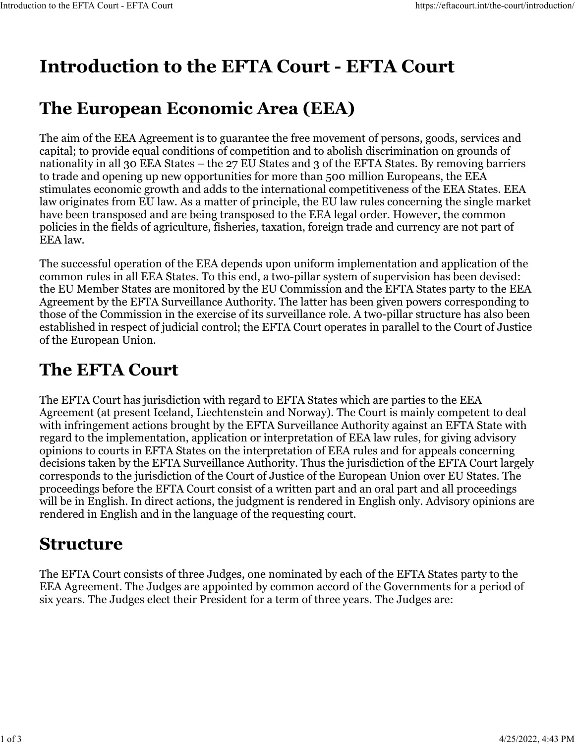# **Introduction to the EFTA Court - EFTA Court**

### **The European Economic Area (EEA)**

The aim of the EEA Agreement is to guarantee the free movement of persons, goods, services and capital; to provide equal conditions of competition and to abolish discrimination on grounds of nationality in all 30 EEA States – the 27 EU States and 3 of the EFTA States. By removing barriers to trade and opening up new opportunities for more than 500 million Europeans, the EEA stimulates economic growth and adds to the international competitiveness of the EEA States. EEA law originates from EU law. As a matter of principle, the EU law rules concerning the single market have been transposed and are being transposed to the EEA legal order. However, the common policies in the fields of agriculture, fisheries, taxation, foreign trade and currency are not part of EEA law.

The successful operation of the EEA depends upon uniform implementation and application of the common rules in all EEA States. To this end, a two-pillar system of supervision has been devised: the EU Member States are monitored by the EU Commission and the EFTA States party to the EEA Agreement by the EFTA Surveillance Authority. The latter has been given powers corresponding to those of the Commission in the exercise of its surveillance role. A two-pillar structure has also been established in respect of judicial control; the EFTA Court operates in parallel to the Court of Justice of the European Union.

# **The EFTA Court**

The EFTA Court has jurisdiction with regard to EFTA States which are parties to the EEA Agreement (at present Iceland, Liechtenstein and Norway). The Court is mainly competent to deal with infringement actions brought by the EFTA Surveillance Authority against an EFTA State with regard to the implementation, application or interpretation of EEA law rules, for giving advisory opinions to courts in EFTA States on the interpretation of EEA rules and for appeals concerning decisions taken by the EFTA Surveillance Authority. Thus the jurisdiction of the EFTA Court largely corresponds to the jurisdiction of the Court of Justice of the European Union over EU States. The proceedings before the EFTA Court consist of a written part and an oral part and all proceedings will be in English. In direct actions, the judgment is rendered in English only. Advisory opinions are rendered in English and in the language of the requesting court.

### **Structure**

The EFTA Court consists of three Judges, one nominated by each of the EFTA States party to the EEA Agreement. The Judges are appointed by common accord of the Governments for a period of six years. The Judges elect their President for a term of three years. The Judges are: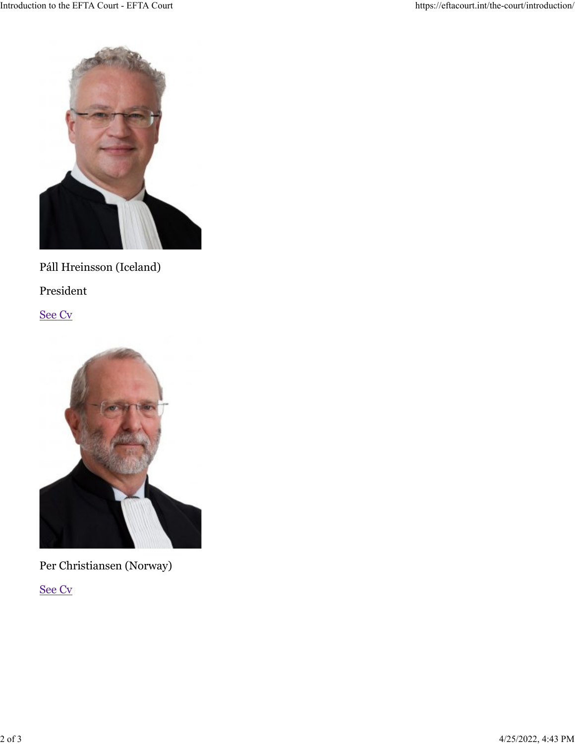

#### Páll Hreinsson (Iceland)

President

[See Cv](https://eftacourt.int/the-court/judges-and-staff/)



Per Christiansen (Norway)

[See Cv](https://eftacourt.int/the-court/judges-and-staff/)